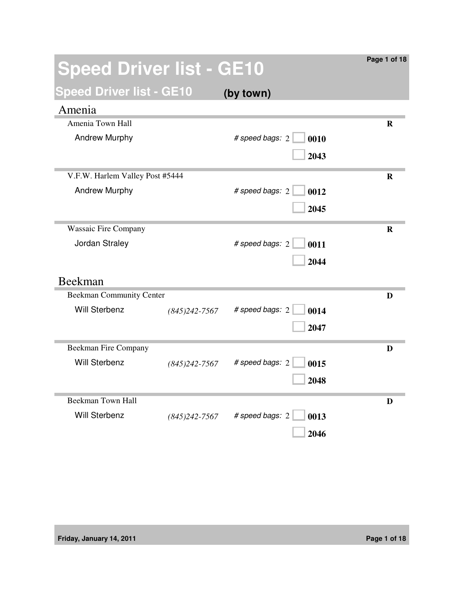| <b>Speed Driver list - GE10</b> |                  |                         | Page 1 of 18 |
|---------------------------------|------------------|-------------------------|--------------|
| <b>Speed Driver list - GE10</b> |                  | (by town)               |              |
| Amenia                          |                  |                         |              |
| Amenia Town Hall                |                  |                         | R            |
| <b>Andrew Murphy</b>            |                  | # speed bags: 2<br>0010 |              |
|                                 |                  | 2043                    |              |
| V.F.W. Harlem Valley Post #5444 |                  |                         | R            |
| <b>Andrew Murphy</b>            |                  | # speed bags: 2<br>0012 |              |
|                                 |                  | 2045                    |              |
| <b>Wassaic Fire Company</b>     |                  |                         | $\mathbf R$  |
| Jordan Straley                  |                  | # speed bags: 2<br>0011 |              |
|                                 |                  | 2044                    |              |
| Beekman                         |                  |                         |              |
| <b>Beekman Community Center</b> |                  |                         | D            |
| <b>Will Sterbenz</b>            | $(845)$ 242-7567 | # speed bags: 2<br>0014 |              |
|                                 |                  | 2047                    |              |
| <b>Beekman Fire Company</b>     |                  |                         | D            |
| <b>Will Sterbenz</b>            | $(845)$ 242-7567 | # speed bags: 2<br>0015 |              |
|                                 |                  | 2048                    |              |
| <b>Beekman Town Hall</b>        |                  |                         | D            |
| Will Sterbenz                   | $(845)$ 242-7567 | # speed bags: 2<br>0013 |              |
|                                 |                  | 2046                    |              |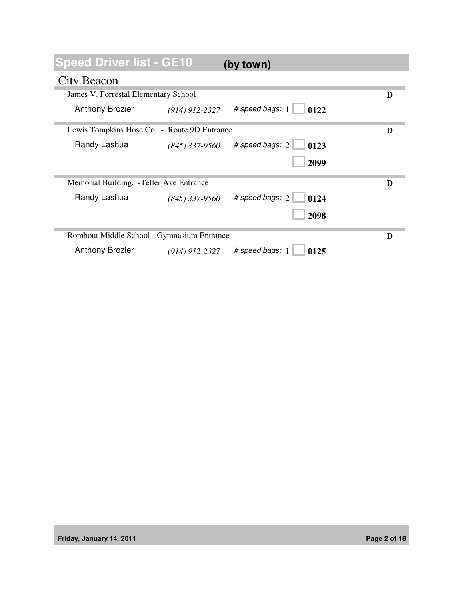## **Speed Driver list - GE10 (by town)**

## City Beacon

| James V. Forrestal Elementary School        |                  |                                        | D |
|---------------------------------------------|------------------|----------------------------------------|---|
| <b>Anthony Brozier</b>                      | $(914)$ 912-2327 | # speed bags: 1<br>0122                |   |
| Lewis Tompkins Hose Co. - Route 9D Entrance |                  |                                        | D |
| Randy Lashua                                | $(845)$ 337-9560 | # speed bags: $2 \mid$<br>$\vert$ 0123 |   |
|                                             |                  | 2099                                   |   |
|                                             |                  |                                        |   |
| Memorial Building, -Teller Ave Entrance     |                  |                                        | D |
| Randy Lashua                                | $(845)$ 337-9560 | # speed bags: 2<br>0124                |   |
|                                             |                  | 2098                                   |   |
| Rombout Middle School- Gymnasium Entrance   |                  |                                        |   |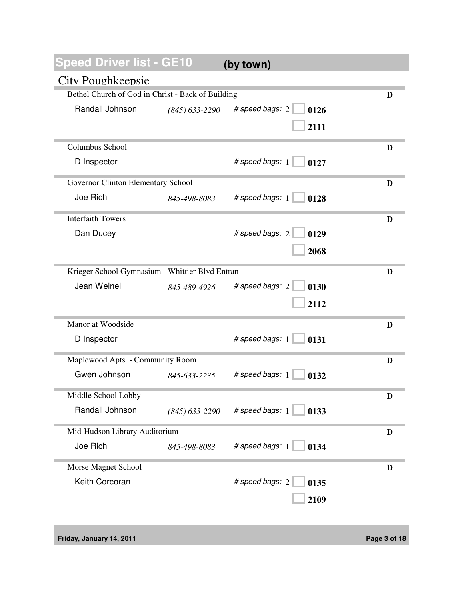**Speed Driver list - GE10 (by town)**

## City Poughkeepsie

| CITA I OUSTIVE COPIC                              |                  |                         |   |
|---------------------------------------------------|------------------|-------------------------|---|
| Bethel Church of God in Christ - Back of Building |                  |                         | D |
| Randall Johnson                                   | $(845)$ 633-2290 | # speed bags: 2<br>0126 |   |
|                                                   |                  | 2111                    |   |
|                                                   |                  |                         |   |
| Columbus School                                   |                  |                         | D |
| D Inspector                                       |                  | # speed bags: 1<br>0127 |   |
|                                                   |                  |                         |   |
| Governor Clinton Elementary School                |                  |                         | D |
| Joe Rich                                          | 845-498-8083     | # speed bags: 1<br>0128 |   |
| <b>Interfaith Towers</b>                          |                  |                         | D |
| Dan Ducey                                         |                  | # speed bags: 2<br>0129 |   |
|                                                   |                  |                         |   |
|                                                   |                  | 2068                    |   |
| Krieger School Gymnasium - Whittier Blvd Entran   |                  |                         | D |
| Jean Weinel                                       | 845-489-4926     | # speed bags: 2<br>0130 |   |
|                                                   |                  | 2112                    |   |
|                                                   |                  |                         |   |
| Manor at Woodside                                 |                  |                         | D |
| D Inspector                                       |                  | # speed bags: 1<br>0131 |   |
|                                                   |                  |                         |   |
| Maplewood Apts. - Community Room                  |                  |                         | D |
| Gwen Johnson                                      | 845-633-2235     | # speed bags: 1<br>0132 |   |
| Middle School Lobby                               |                  |                         | D |
| Randall Johnson                                   | $(845)$ 633-2290 | # speed bags: 1<br>0133 |   |
|                                                   |                  |                         |   |
| Mid-Hudson Library Auditorium                     |                  |                         | D |
| Joe Rich                                          | 845-498-8083     | # speed bags: 1<br>0134 |   |
| Morse Magnet School                               |                  |                         | D |
|                                                   |                  |                         |   |
| Keith Corcoran                                    |                  | # speed bags: 2<br>0135 |   |
|                                                   |                  | 2109                    |   |
|                                                   |                  |                         |   |

**Friday, January 14, 2011 Page 3 of 18**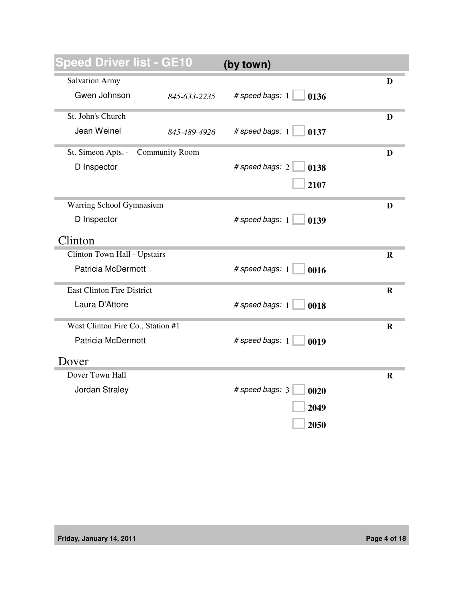| peed Driver list - GE10                     | (by town)               |             |
|---------------------------------------------|-------------------------|-------------|
| <b>Salvation Army</b>                       |                         | D           |
| Gwen Johnson<br>845-633-2235                | # speed bags: 1<br>0136 |             |
| St. John's Church                           |                         | D           |
| Jean Weinel<br>845-489-4926                 | # speed bags: 1<br>0137 |             |
| St. Simeon Apts. -<br><b>Community Room</b> |                         | D           |
| D Inspector                                 | # speed bags: 2<br>0138 |             |
|                                             | 2107                    |             |
| Warring School Gymnasium                    |                         | D           |
| D Inspector                                 | # speed bags: 1<br>0139 |             |
| Clinton                                     |                         |             |
| Clinton Town Hall - Upstairs                |                         | R           |
| Patricia McDermott                          | # speed bags: 1<br>0016 |             |
| <b>East Clinton Fire District</b>           |                         | R           |
| Laura D'Attore                              | # speed bags: 1<br>0018 |             |
| West Clinton Fire Co., Station #1           |                         | $\mathbf R$ |
| Patricia McDermott                          | # speed bags: 1<br>0019 |             |
| Dover                                       |                         |             |
| Dover Town Hall                             |                         | R           |
| Jordan Straley                              | # speed bags: 3<br>0020 |             |
|                                             | 2049                    |             |
|                                             | 2050                    |             |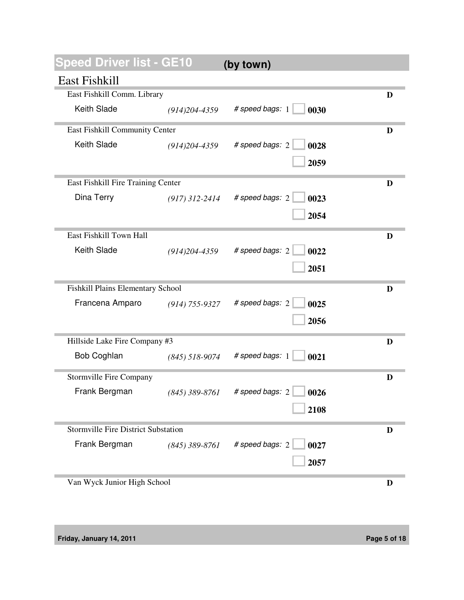| Speed Driver list - GE10                   |                    | (by town)               |   |
|--------------------------------------------|--------------------|-------------------------|---|
| East Fishkill                              |                    |                         |   |
| East Fishkill Comm. Library                |                    |                         | D |
| <b>Keith Slade</b>                         | $(914)204 - 4359$  | # speed bags: 1<br>0030 |   |
| East Fishkill Community Center             |                    |                         | D |
| Keith Slade                                | $(914)204 - 4359$  | # speed bags: 2<br>0028 |   |
|                                            |                    | 2059                    |   |
| East Fishkill Fire Training Center         |                    |                         | D |
| Dina Terry                                 | $(917)$ 312-2414   | # speed bags: 2<br>0023 |   |
|                                            |                    | 2054                    |   |
| East Fishkill Town Hall                    |                    |                         | D |
| Keith Slade                                | $(914)204 - 4359$  | # speed bags: 2<br>0022 |   |
|                                            |                    | 2051                    |   |
| Fishkill Plains Elementary School          |                    |                         | D |
| Francena Amparo                            | $(914) 755 - 9327$ | # speed bags: 2<br>0025 |   |
|                                            |                    | 2056                    |   |
| Hillside Lake Fire Company #3              |                    |                         | D |
| Bob Coghlan                                | $(845)$ 518-9074   | # speed bags: 1<br>0021 |   |
| <b>Stormville Fire Company</b>             |                    |                         | D |
| Frank Bergman                              | $(845) 389 - 8761$ | # speed bags: 2<br>0026 |   |
|                                            |                    | 2108                    |   |
| <b>Stormville Fire District Substation</b> |                    |                         | D |
| Frank Bergman                              | $(845)$ 389-8761   | # speed bags: 2<br>0027 |   |
|                                            |                    | 2057                    |   |
| Van Wyck Junior High School                |                    |                         | D |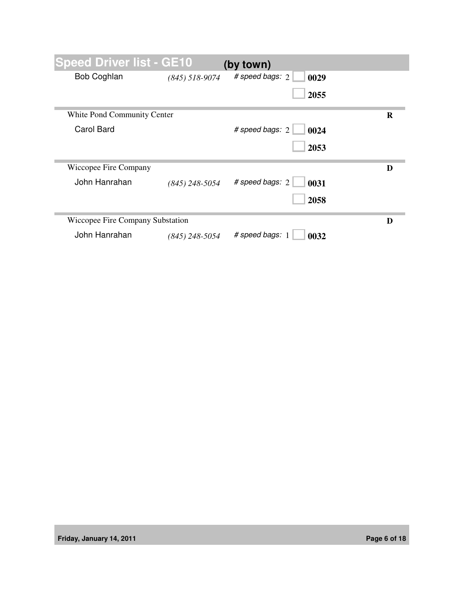| <b>Speed Driver list - GE10</b>  |                  | (by town)               |   |
|----------------------------------|------------------|-------------------------|---|
| <b>Bob Coghlan</b>               | $(845)$ 518-9074 | # speed bags: 2<br>0029 |   |
|                                  |                  | 2055                    |   |
| White Pond Community Center      |                  |                         | R |
| Carol Bard                       |                  | # speed bags: 2<br>0024 |   |
|                                  |                  | 2053                    |   |
| Wiccopee Fire Company            |                  |                         | D |
| John Hanrahan                    | $(845)$ 248-5054 | # speed bags: 2<br>0031 |   |
|                                  |                  | 2058                    |   |
| Wiccopee Fire Company Substation |                  |                         | D |
| John Hanrahan                    | (845) 248-5054   | # speed bags: 1<br>0032 |   |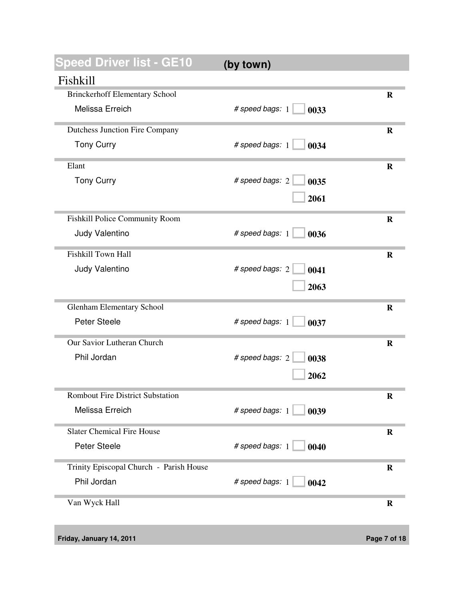| <b>Speed Driver list - GE10</b>         | (by town)               |             |
|-----------------------------------------|-------------------------|-------------|
| Fishkill                                |                         |             |
| <b>Brinckerhoff Elementary School</b>   |                         | $\bf{R}$    |
| Melissa Erreich                         | # speed bags: 1<br>0033 |             |
| <b>Dutchess Junction Fire Company</b>   |                         | $\mathbf R$ |
| <b>Tony Curry</b>                       | # speed bags: 1<br>0034 |             |
| Elant                                   |                         | $\mathbf R$ |
| <b>Tony Curry</b>                       | # speed bags: 2<br>0035 |             |
|                                         | 2061                    |             |
| Fishkill Police Community Room          |                         | $\mathbf R$ |
| Judy Valentino                          | # speed bags: 1<br>0036 |             |
| Fishkill Town Hall                      |                         | $\mathbf R$ |
| Judy Valentino                          | # speed bags: 2<br>0041 |             |
|                                         | 2063                    |             |
| <b>Glenham Elementary School</b>        |                         | $\bf{R}$    |
| Peter Steele                            | # speed bags: 1<br>0037 |             |
| Our Savior Lutheran Church              |                         | $\mathbf R$ |
| Phil Jordan                             | # speed bags: 2<br>0038 |             |
|                                         | 2062                    |             |
| <b>Rombout Fire District Substation</b> |                         | R           |
| Melissa Erreich                         | # speed bags: 1<br>0039 |             |
| <b>Slater Chemical Fire House</b>       |                         | $\bf R$     |
| Peter Steele                            | # speed bags: 1<br>0040 |             |
| Trinity Episcopal Church - Parish House |                         | $\mathbf R$ |
| Phil Jordan                             | # speed bags: 1<br>0042 |             |
| Van Wyck Hall                           |                         | R           |
|                                         |                         |             |

**Friday, January 14, 2011 Page 7 of 18**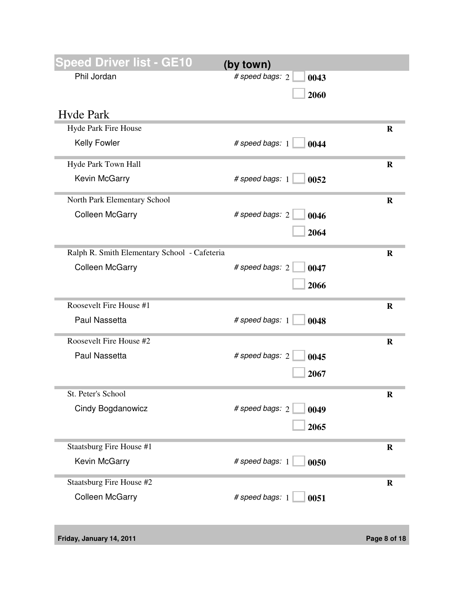| peed Driver list - GE10                      | (by town)               |             |
|----------------------------------------------|-------------------------|-------------|
| Phil Jordan                                  | # speed bags: 2<br>0043 |             |
|                                              | 2060                    |             |
| <b>Hyde Park</b>                             |                         |             |
| Hyde Park Fire House                         |                         | $\bf{R}$    |
| Kelly Fowler                                 | # speed bags: 1<br>0044 |             |
| Hyde Park Town Hall                          |                         | $\mathbf R$ |
| Kevin McGarry                                | # speed bags: 1<br>0052 |             |
| North Park Elementary School                 |                         | $\mathbf R$ |
| <b>Colleen McGarry</b>                       | # speed bags: 2<br>0046 |             |
|                                              | 2064                    |             |
| Ralph R. Smith Elementary School - Cafeteria |                         | $\mathbf R$ |
| <b>Colleen McGarry</b>                       | # speed bags: 2<br>0047 |             |
|                                              | 2066                    |             |
| Roosevelt Fire House #1                      |                         | $\bf R$     |
| Paul Nassetta                                | # speed bags: 1<br>0048 |             |
| Roosevelt Fire House #2                      |                         | $\mathbf R$ |
| Paul Nassetta                                | # speed bags: 2<br>0045 |             |
|                                              | 2067                    |             |
| St. Peter's School                           |                         | R           |
| Cindy Bogdanowicz                            | # speed bags: 2<br>0049 |             |
|                                              | 2065                    |             |
| Staatsburg Fire House #1                     |                         | $\mathbf R$ |
| Kevin McGarry                                | # speed bags: 1<br>0050 |             |
| Staatsburg Fire House #2                     |                         | $\mathbf R$ |
| <b>Colleen McGarry</b>                       | # speed bags: 1<br>0051 |             |

**Friday, January 14, 2011 Page 8 of 18**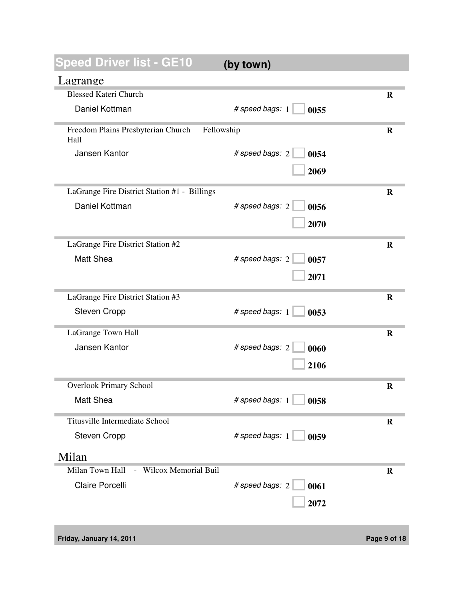| peed Driver list - GE10                                  | (by town)               |             |
|----------------------------------------------------------|-------------------------|-------------|
| Lagrange                                                 |                         |             |
| <b>Blessed Kateri Church</b>                             |                         | R           |
| Daniel Kottman                                           | # speed bags: 1<br>0055 |             |
| Freedom Plains Presbyterian Church<br>Fellowship<br>Hall |                         | $\bf R$     |
| Jansen Kantor                                            | # speed bags: 2<br>0054 |             |
|                                                          | 2069                    |             |
| LaGrange Fire District Station #1 - Billings             |                         | $\mathbf R$ |
| Daniel Kottman                                           | # speed bags: 2<br>0056 |             |
|                                                          | 2070                    |             |
| LaGrange Fire District Station #2                        |                         | $\bf{R}$    |
| Matt Shea                                                | # speed bags: 2<br>0057 |             |
|                                                          | 2071                    |             |
| LaGrange Fire District Station #3                        |                         | $\bf{R}$    |
| <b>Steven Cropp</b>                                      | # speed bags: 1<br>0053 |             |
| LaGrange Town Hall                                       |                         | $\bf{R}$    |
| Jansen Kantor                                            | # speed bags: 2<br>0060 |             |
|                                                          | 2106                    |             |
| <b>Overlook Primary School</b>                           |                         | $\bf R$     |
| Matt Shea                                                | # speed bags: 1<br>0058 |             |
| Titusville Intermediate School                           |                         | $\bf R$     |
| <b>Steven Cropp</b>                                      | # speed bags: 1<br>0059 |             |
| Milan                                                    |                         |             |
| - Wilcox Memorial Buil<br>Milan Town Hall                |                         | $\bf R$     |
| Claire Porcelli                                          | # speed bags: 2<br>0061 |             |
|                                                          | 2072                    |             |

**Friday, January 14, 2011 Page 9 of 18**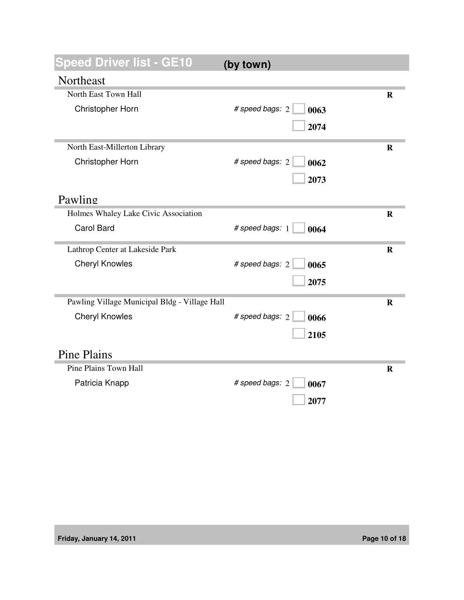| Speed Driver list - GE10                      | (by town)               |             |
|-----------------------------------------------|-------------------------|-------------|
| Northeast                                     |                         |             |
| North East Town Hall                          |                         | $\mathbf R$ |
| Christopher Horn                              | # speed bags: 2<br>0063 |             |
|                                               | 2074                    |             |
| North East-Millerton Library                  |                         | $\bf{R}$    |
| Christopher Horn                              | # speed bags: 2<br>0062 |             |
|                                               | 2073                    |             |
| Pawling                                       |                         |             |
| Holmes Whaley Lake Civic Association          |                         | $\bf{R}$    |
| <b>Carol Bard</b>                             | # speed bags: 1<br>0064 |             |
| Lathrop Center at Lakeside Park               |                         | R           |
| <b>Cheryl Knowles</b>                         | # speed bags: 2<br>0065 |             |
|                                               | 2075                    |             |
| Pawling Village Municipal Bldg - Village Hall |                         | $\mathbf R$ |
| <b>Cheryl Knowles</b>                         | # speed bags: 2<br>0066 |             |
|                                               | 2105                    |             |
| <b>Pine Plains</b>                            |                         |             |
| Pine Plains Town Hall                         |                         | $\mathbf R$ |
| Patricia Knapp                                | # speed bags: 2<br>0067 |             |
|                                               | 2077                    |             |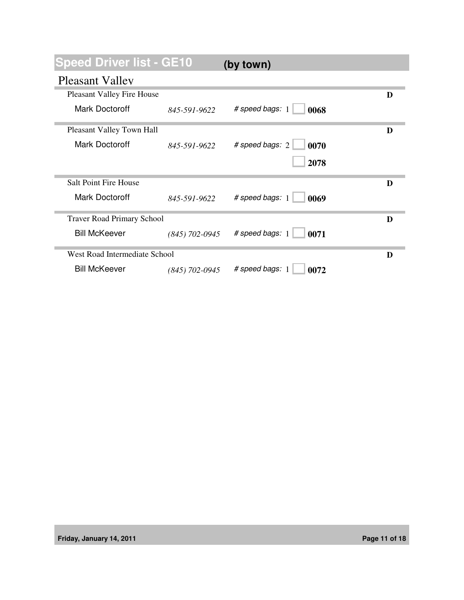| <b>Speed Driver list - GE10</b>   |                  | (by town)                           |   |
|-----------------------------------|------------------|-------------------------------------|---|
| <b>Pleasant Valley</b>            |                  |                                     |   |
| <b>Pleasant Valley Fire House</b> |                  |                                     | D |
| <b>Mark Doctoroff</b>             | 845-591-9622     | # speed bags: 1<br>0068             |   |
| Pleasant Valley Town Hall         |                  |                                     | D |
| Mark Doctoroff                    | 845-591-9622     | # speed bags: $2 \parallel$<br>0070 |   |
|                                   |                  | 2078                                |   |
| <b>Salt Point Fire House</b>      |                  |                                     | D |
| Mark Doctoroff                    | 845-591-9622     | # speed bags: 1<br>0069             |   |
| <b>Traver Road Primary School</b> |                  |                                     | D |
| <b>Bill McKeever</b>              | $(845)$ 702-0945 | # speed bags: 1<br>0071             |   |
| West Road Intermediate School     |                  |                                     | D |
| <b>Bill McKeever</b>              | $(845)$ 702-0945 | # speed bags: $1$<br>0072           |   |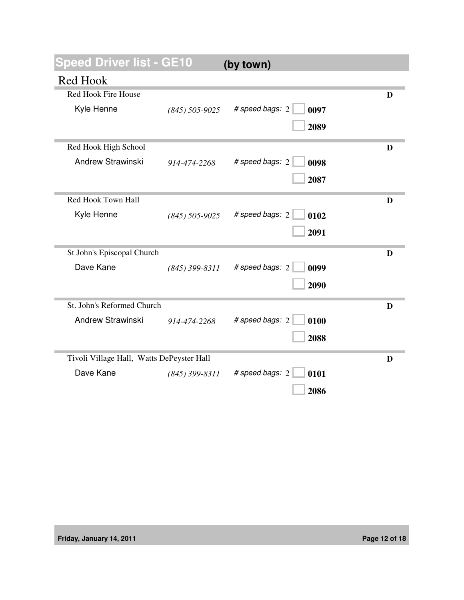| peed Driver list - GE10                   |                  | (by town)               |   |
|-------------------------------------------|------------------|-------------------------|---|
| Red Hook                                  |                  |                         |   |
| Red Hook Fire House                       |                  |                         | D |
| Kyle Henne                                | $(845)$ 505-9025 | # speed bags: 2<br>0097 |   |
|                                           |                  | 2089                    |   |
| Red Hook High School                      |                  |                         | D |
| <b>Andrew Strawinski</b>                  | 914-474-2268     | # speed bags: 2<br>0098 |   |
|                                           |                  | 2087                    |   |
| Red Hook Town Hall                        |                  |                         | D |
| Kyle Henne                                | $(845)$ 505-9025 | # speed bags: 2<br>0102 |   |
|                                           |                  | 2091                    |   |
| St John's Episcopal Church                |                  |                         | D |
| Dave Kane                                 | $(845)$ 399-8311 | # speed bags: 2<br>0099 |   |
|                                           |                  | 2090                    |   |
| St. John's Reformed Church                |                  |                         | D |
| <b>Andrew Strawinski</b>                  | 914-474-2268     | # speed bags: 2<br>0100 |   |
|                                           |                  | 2088                    |   |
| Tivoli Village Hall, Watts DePeyster Hall |                  |                         | D |
| Dave Kane                                 | $(845)$ 399-8311 | # speed bags: 2<br>0101 |   |
|                                           |                  | 2086                    |   |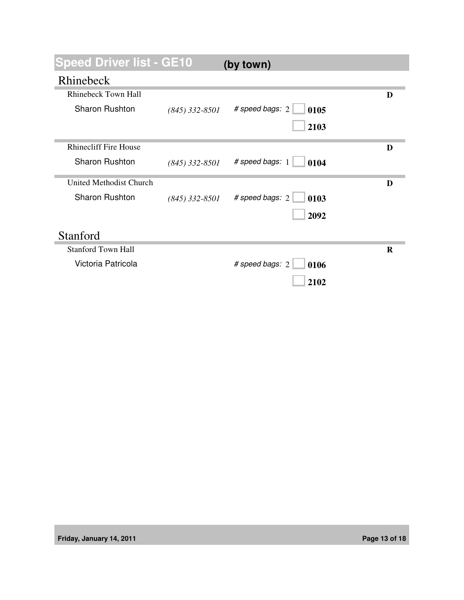| <b>Speed Driver list - GE10</b> |                  | (by town)                      |   |
|---------------------------------|------------------|--------------------------------|---|
| Rhinebeck                       |                  |                                |   |
| <b>Rhinebeck Town Hall</b>      |                  |                                | D |
| Sharon Rushton                  | $(845)$ 332-8501 | # speed bags: $2$<br>0105      |   |
|                                 |                  | 2103                           |   |
| <b>Rhinecliff Fire House</b>    |                  |                                | D |
| <b>Sharon Rushton</b>           | $(845)$ 332-8501 | # speed bags: 1<br>$\Box$ 0104 |   |
| United Methodist Church         |                  |                                | D |
| <b>Sharon Rushton</b>           | $(845)$ 332-8501 | # speed bags: 2<br>0103        |   |
|                                 |                  | 2092                           |   |
| Stanford                        |                  |                                |   |
| <b>Stanford Town Hall</b>       |                  |                                | R |
| Victoria Patricola              |                  | # speed bags: 2<br>0106        |   |
|                                 |                  | 2102                           |   |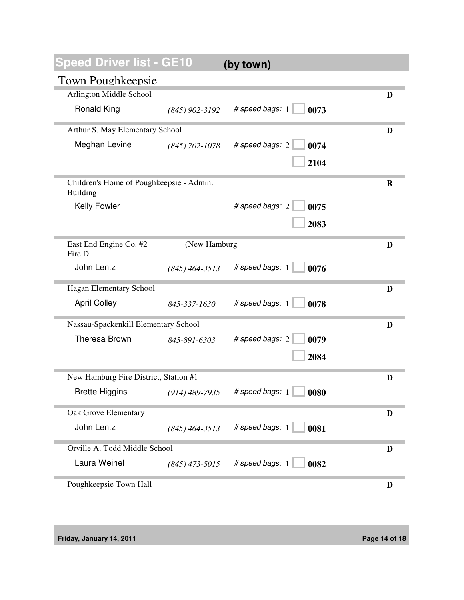| <b>Speed Driver list - GE10</b>                      |                  | (by town)                              |             |
|------------------------------------------------------|------------------|----------------------------------------|-------------|
| <b>Town Poughkeepsie</b>                             |                  |                                        |             |
| Arlington Middle School                              |                  |                                        | D           |
| <b>Ronald King</b>                                   | $(845)$ 902-3192 | # speed bags: 1<br>0073                |             |
| Arthur S. May Elementary School                      |                  |                                        | D           |
| Meghan Levine                                        | $(845)$ 702-1078 | # speed bags: 2<br>0074                |             |
|                                                      |                  | 2104                                   |             |
| Children's Home of Poughkeepsie - Admin.<br>Building |                  |                                        | $\mathbf R$ |
| Kelly Fowler                                         |                  | # speed bags: 2<br>0075                |             |
|                                                      |                  | 2083                                   |             |
| East End Engine Co. #2<br>Fire Di                    | (New Hamburg     |                                        | D           |
| John Lentz                                           | $(845)$ 464-3513 | # speed bags: 1<br>0076                |             |
| Hagan Elementary School                              |                  |                                        | D           |
| <b>April Colley</b>                                  | 845-337-1630     | # speed bags: 1<br>0078                |             |
| Nassau-Spackenkill Elementary School                 |                  |                                        | D           |
| <b>Theresa Brown</b>                                 | 845-891-6303     | # speed bags: 2<br>0079                |             |
|                                                      |                  | 2084                                   |             |
| New Hamburg Fire District, Station #1                |                  |                                        | D           |
| <b>Brette Higgins</b>                                | $(914)$ 489-7935 | # speed bags: 1<br>$\blacksquare$ 0080 |             |
| Oak Grove Elementary                                 |                  |                                        | D           |
| John Lentz                                           | $(845)$ 464-3513 | # speed bags: 1<br>0081                |             |
| Orville A. Todd Middle School                        |                  | D                                      |             |
| Laura Weinel                                         | $(845)$ 473-5015 | # speed bags: 1<br>0082                |             |
| Poughkeepsie Town Hall                               |                  |                                        | D           |

**Friday, January 14, 2011 Page 14 of 18**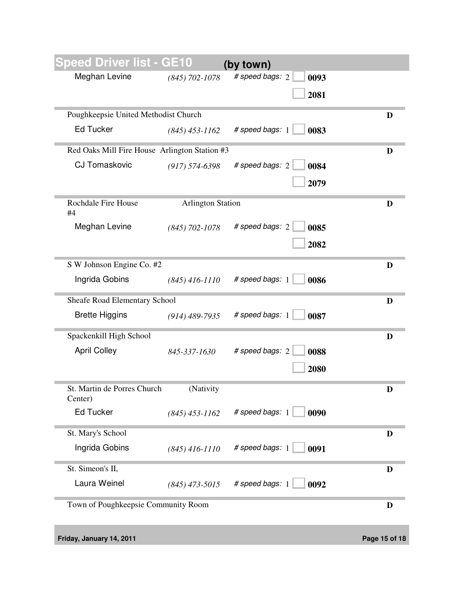| peed Driver list - GE10                       |                          | (by town)               |   |
|-----------------------------------------------|--------------------------|-------------------------|---|
| Meghan Levine                                 | $(845)$ 702-1078         | # speed bags: 2<br>0093 |   |
|                                               |                          | 2081                    |   |
| Poughkeepsie United Methodist Church          |                          |                         | D |
| <b>Ed Tucker</b>                              | $(845)$ 453-1162         | # speed bags: 1<br>0083 |   |
| Red Oaks Mill Fire House Arlington Station #3 |                          |                         | D |
| <b>CJ Tomaskovic</b>                          | $(917) 574 - 6398$       | # speed bags: 2<br>0084 |   |
|                                               |                          | 2079                    |   |
| Rochdale Fire House<br>#4                     | <b>Arlington Station</b> |                         | D |
| Meghan Levine                                 | $(845)$ 702-1078         | # speed bags: 2<br>0085 |   |
|                                               |                          | 2082                    |   |
| S W Johnson Engine Co. #2                     |                          |                         | D |
| Ingrida Gobins                                | $(845)$ 416-1110         | # speed bags: 1<br>0086 |   |
| Sheafe Road Elementary School                 |                          |                         | D |
| <b>Brette Higgins</b>                         | $(914)$ 489-7935         | # speed bags: 1<br>0087 |   |
| Spackenkill High School                       |                          |                         | D |
| <b>April Colley</b>                           | 845-337-1630             | # speed bags: 2<br>0088 |   |
|                                               |                          | 2080                    |   |
| St. Martin de Porres Church<br>Center)        | (Nativity                |                         | D |
| <b>Ed Tucker</b>                              | $(845)$ 453-1162         | # speed bags: 1<br>0090 |   |
| St. Mary's School                             |                          |                         | D |
| Ingrida Gobins                                | $(845)$ 416-1110         | # speed bags: 1<br>0091 |   |
| St. Simeon's II,                              |                          |                         | D |
| Laura Weinel                                  | $(845)$ 473-5015         | # speed bags: 1<br>0092 |   |
| Town of Poughkeepsie Community Room           |                          |                         | D |

**Friday, January 14, 2011 Page 15 of 18**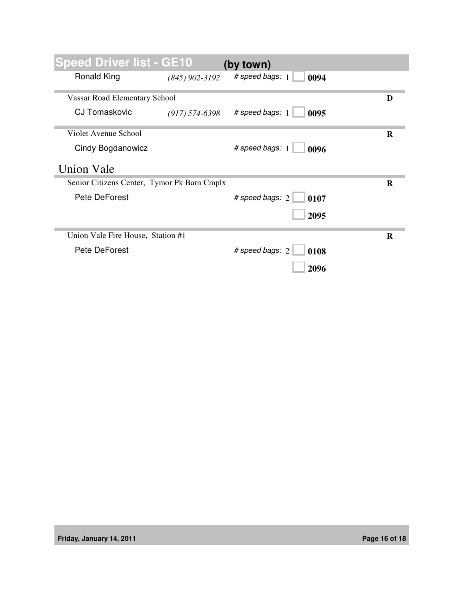| <b>Speed Driver list - GE10</b>             |                  | (by town)                   |          |
|---------------------------------------------|------------------|-----------------------------|----------|
| <b>Ronald King</b>                          | $(845)$ 902-3192 | # speed bags: 1<br>0094     |          |
| <b>Vassar Road Elementary School</b>        |                  |                             | D        |
| CJ Tomaskovic                               | $(917)$ 574-6398 | # speed bags: 1<br>0095     |          |
| Violet Avenue School                        |                  |                             | $\bf{R}$ |
| Cindy Bogdanowicz                           |                  | # speed bags: 1<br>0096     |          |
| <b>Union Vale</b>                           |                  |                             |          |
| Senior Citizens Center, Tymor Pk Barn Cmplx |                  |                             | R        |
| Pete DeForest                               |                  | # speed bags: $2 \mid 0107$ |          |
|                                             |                  | 2095                        |          |
| Union Vale Fire House, Station #1           |                  |                             | R        |
| Pete DeForest                               |                  | # speed bags: 2<br>0108     |          |
|                                             |                  | 2096                        |          |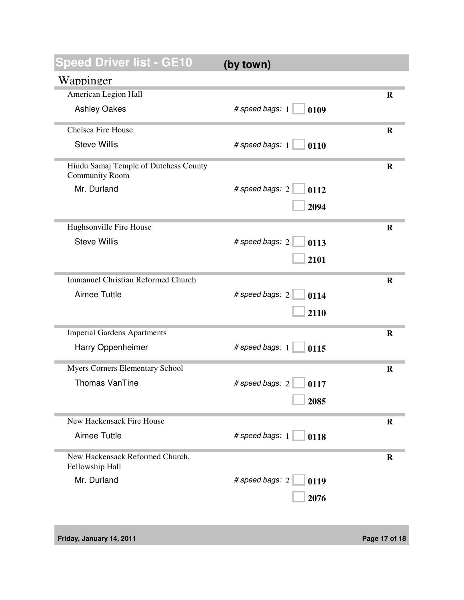| <b>Speed Driver list - GE10</b>                    | (by town)                        |             |
|----------------------------------------------------|----------------------------------|-------------|
| Wappinger                                          |                                  |             |
| American Legion Hall                               |                                  | R           |
| <b>Ashley Oakes</b>                                | # speed bags: 1<br>0109          |             |
| <b>Chelsea Fire House</b>                          |                                  | R           |
| <b>Steve Willis</b>                                | # speed bags: $1 \parallel 0110$ |             |
| Hindu Samaj Temple of Dutchess County              |                                  | $\bf{R}$    |
| <b>Community Room</b>                              |                                  |             |
| Mr. Durland                                        | # speed bags: $2 \Box$<br>0112   |             |
|                                                    | 2094                             |             |
| Hughsonville Fire House                            |                                  | $\mathbf R$ |
| <b>Steve Willis</b>                                | # speed bags: 2<br>0113          |             |
|                                                    | 2101                             |             |
|                                                    |                                  |             |
| <b>Immanuel Christian Reformed Church</b>          |                                  | $\bf{R}$    |
| Aimee Tuttle                                       | # speed bags: 2<br>0114          |             |
|                                                    | 2110                             |             |
|                                                    |                                  |             |
| <b>Imperial Gardens Apartments</b>                 |                                  | $\bf{R}$    |
| Harry Oppenheimer                                  | # speed bags: $1 \mid$<br>0115   |             |
| <b>Myers Corners Elementary School</b>             |                                  | $\bf{R}$    |
| <b>Thomas VanTine</b>                              | # speed bags: 2<br>0117          |             |
|                                                    |                                  |             |
|                                                    | 2085                             |             |
| New Hackensack Fire House                          |                                  | $\mathbf R$ |
| Aimee Tuttle                                       | # speed bags: $1 \mid$<br>0118   |             |
| New Hackensack Reformed Church,<br>Fellowship Hall |                                  | $\mathbf R$ |
| Mr. Durland                                        | # speed bags: 2<br>0119          |             |
|                                                    |                                  |             |
|                                                    | 2076                             |             |
|                                                    |                                  |             |

**Friday, January 14, 2011 Page 17 of 18**